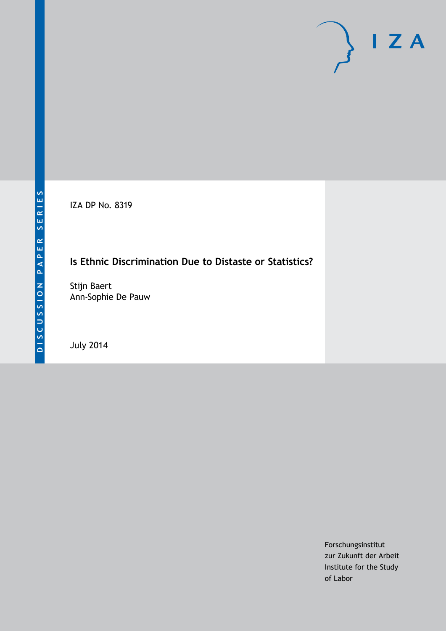IZA DP No. 8319

# **Is Ethnic Discrimination Due to Distaste or Statistics?**

Stijn Baert Ann-Sophie De Pauw

July 2014

Forschungsinstitut zur Zukunft der Arbeit Institute for the Study of Labor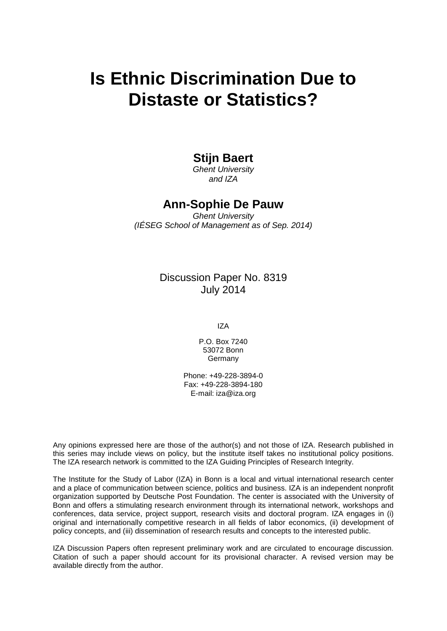# **Is Ethnic Discrimination Due to Distaste or Statistics?**

### **Stijn Baert**

*Ghent University and IZA*

### **Ann-Sophie De Pauw**

*Ghent University (IÉSEG School of Management as of Sep. 2014)*

### Discussion Paper No. 8319 July 2014

IZA

P.O. Box 7240 53072 Bonn **Germany** 

Phone: +49-228-3894-0 Fax: +49-228-3894-180 E-mail: [iza@iza.org](mailto:iza@iza.org)

Any opinions expressed here are those of the author(s) and not those of IZA. Research published in this series may include views on policy, but the institute itself takes no institutional policy positions. The IZA research network is committed to the IZA Guiding Principles of Research Integrity.

The Institute for the Study of Labor (IZA) in Bonn is a local and virtual international research center and a place of communication between science, politics and business. IZA is an independent nonprofit organization supported by Deutsche Post Foundation. The center is associated with the University of Bonn and offers a stimulating research environment through its international network, workshops and conferences, data service, project support, research visits and doctoral program. IZA engages in (i) original and internationally competitive research in all fields of labor economics, (ii) development of policy concepts, and (iii) dissemination of research results and concepts to the interested public.

IZA Discussion Papers often represent preliminary work and are circulated to encourage discussion. Citation of such a paper should account for its provisional character. A revised version may be available directly from the author.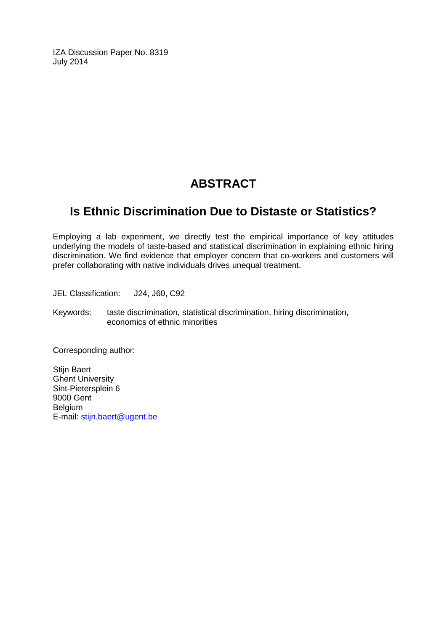IZA Discussion Paper No. 8319 July 2014

# **ABSTRACT**

# **Is Ethnic Discrimination Due to Distaste or Statistics?**

Employing a lab experiment, we directly test the empirical importance of key attitudes underlying the models of taste-based and statistical discrimination in explaining ethnic hiring discrimination. We find evidence that employer concern that co-workers and customers will prefer collaborating with native individuals drives unequal treatment.

JEL Classification: J24, J60, C92

Keywords: taste discrimination, statistical discrimination, hiring discrimination, economics of ethnic minorities

Corresponding author:

Stijn Baert Ghent University Sint-Pietersplein 6 9000 Gent Belgium E-mail: [stijn.baert@ugent.be](mailto:stijn.baert@ugent.be)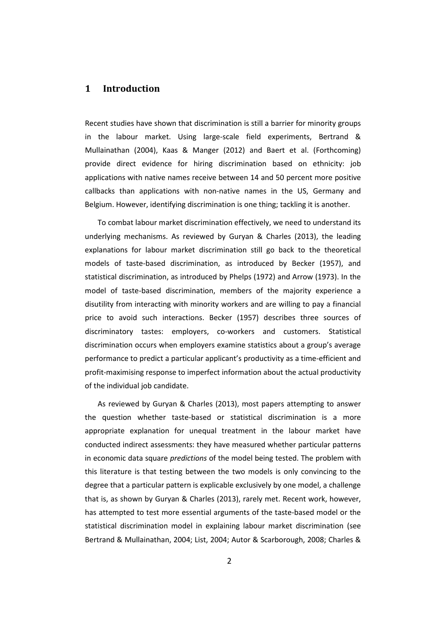#### **1 Introduction**

Recent studies have shown that discrimination is still a barrier for minority groups in the labour market. Using large-scale field experiments, Bertrand & Mullainathan (2004), Kaas & Manger (2012) and Baert et al. (Forthcoming) provide direct evidence for hiring discrimination based on ethnicity: job applications with native names receive between 14 and 50 percent more positive callbacks than applications with non-native names in the US, Germany and Belgium. However, identifying discrimination is one thing; tackling it is another.

To combat labour market discrimination effectively, we need to understand its underlying mechanisms. As reviewed by Guryan & Charles (2013), the leading explanations for labour market discrimination still go back to the theoretical models of taste-based discrimination, as introduced by Becker (1957), and statistical discrimination, as introduced by Phelps (1972) and Arrow (1973). In the model of taste-based discrimination, members of the majority experience a disutility from interacting with minority workers and are willing to pay a financial price to avoid such interactions. Becker (1957) describes three sources of discriminatory tastes: employers, co-workers and customers. Statistical discrimination occurs when employers examine statistics about a group's average performance to predict a particular applicant's productivity as a time-efficient and profit-maximising response to imperfect information about the actual productivity of the individual job candidate.

As reviewed by Guryan & Charles (2013), most papers attempting to answer the question whether taste-based or statistical discrimination is a more appropriate explanation for unequal treatment in the labour market have conducted indirect assessments: they have measured whether particular patterns in economic data square *predictions* of the model being tested. The problem with this literature is that testing between the two models is only convincing to the degree that a particular pattern is explicable exclusively by one model, a challenge that is, as shown by Guryan & Charles (2013), rarely met. Recent work, however, has attempted to test more essential arguments of the taste-based model or the statistical discrimination model in explaining labour market discrimination (see Bertrand & Mullainathan, 2004; List, 2004; Autor & Scarborough, 2008; Charles &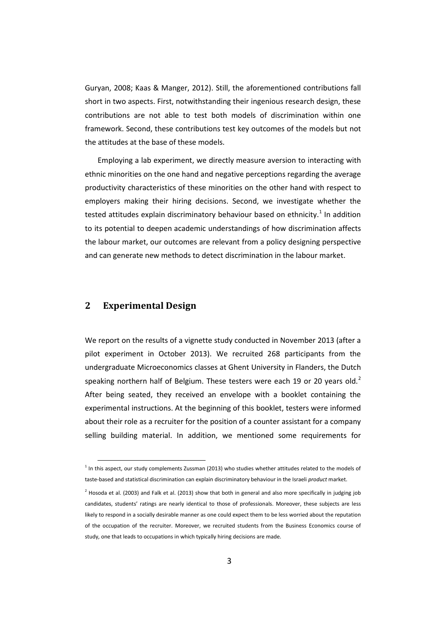Guryan, 2008; Kaas & Manger, 2012). Still, the aforementioned contributions fall short in two aspects. First, notwithstanding their ingenious research design, these contributions are not able to test both models of discrimination within one framework. Second, these contributions test key outcomes of the models but not the attitudes at the base of these models.

Employing a lab experiment, we directly measure aversion to interacting with ethnic minorities on the one hand and negative perceptions regarding the average productivity characteristics of these minorities on the other hand with respect to employers making their hiring decisions. Second, we investigate whether the tested attitudes explain discriminatory behaviour based on ethnicity.<sup>1</sup> In addition to its potential to deepen academic understandings of how discrimination affects the labour market, our outcomes are relevant from a policy designing perspective and can generate new methods to detect discrimination in the labour market.

#### **2 Experimental Design**

We report on the results of a vignette study conducted in November 2013 (after a pilot experiment in October 2013). We recruited 268 participants from the undergraduate Microeconomics classes at Ghent University in Flanders, the Dutch speaking northern half of Belgium. These testers were each 19 or [2](#page-4-0)0 years old.<sup>2</sup> After being seated, they received an envelope with a booklet containing the experimental instructions. At the beginning of this booklet, testers were informed about their role as a recruiter for the position of a counter assistant for a company selling building material. In addition, we mentioned some requirements for

 $<sup>1</sup>$  In this aspect, our study complements Zussman (2013) who studies whether attitudes related to the models of</sup> taste-based and statistical discrimination can explain discriminatory behaviour in the Israeli *product* market.

<span id="page-4-1"></span><span id="page-4-0"></span> $^2$  Hosoda et al. (2003) and Falk et al. (2013) show that both in general and also more specifically in judging job candidates, students' ratings are nearly identical to those of professionals. Moreover, these subjects are less likely to respond in a socially desirable manner as one could expect them to be less worried about the reputation of the occupation of the recruiter. Moreover, we recruited students from the Business Economics course of study, one that leads to occupations in which typically hiring decisions are made.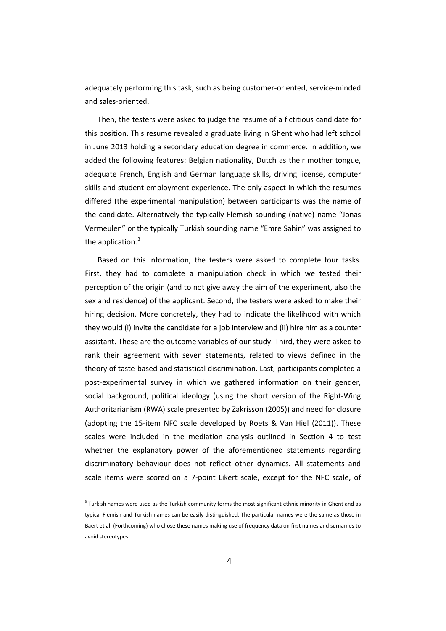adequately performing this task, such as being customer-oriented, service-minded and sales-oriented.

Then, the testers were asked to judge the resume of a fictitious candidate for this position. This resume revealed a graduate living in Ghent who had left school in June 2013 holding a secondary education degree in commerce. In addition, we added the following features: Belgian nationality, Dutch as their mother tongue, adequate French, English and German language skills, driving license, computer skills and student employment experience. The only aspect in which the resumes differed (the experimental manipulation) between participants was the name of the candidate. Alternatively the typically Flemish sounding (native) name "Jonas Vermeulen" or the typically Turkish sounding name "Emre Sahin" was assigned to the application. $3$ 

Based on this information, the testers were asked to complete four tasks. First, they had to complete a manipulation check in which we tested their perception of the origin (and to not give away the aim of the experiment, also the sex and residence) of the applicant. Second, the testers were asked to make their hiring decision. More concretely, they had to indicate the likelihood with which they would (i) invite the candidate for a job interview and (ii) hire him as a counter assistant. These are the outcome variables of our study. Third, they were asked to rank their agreement with seven statements, related to views defined in the theory of taste-based and statistical discrimination. Last, participants completed a post-experimental survey in which we gathered information on their gender, social background, political ideology (using the short version of the Right-Wing Authoritarianism (RWA) scale presented by Zakrisson (2005)) and need for closure (adopting the 15-item NFC scale developed by Roets & Van Hiel (2011)). These scales were included in the mediation analysis outlined in Section 4 to test whether the explanatory power of the aforementioned statements regarding discriminatory behaviour does not reflect other dynamics. All statements and scale items were scored on a 7-point Likert scale, except for the NFC scale, of

<span id="page-5-0"></span> $3$  Turkish names were used as the Turkish community forms the most significant ethnic minority in Ghent and as typical Flemish and Turkish names can be easily distinguished. The particular names were the same as those in Baert et al. (Forthcoming) who chose these names making use of frequency data on first names and surnames to avoid stereotypes.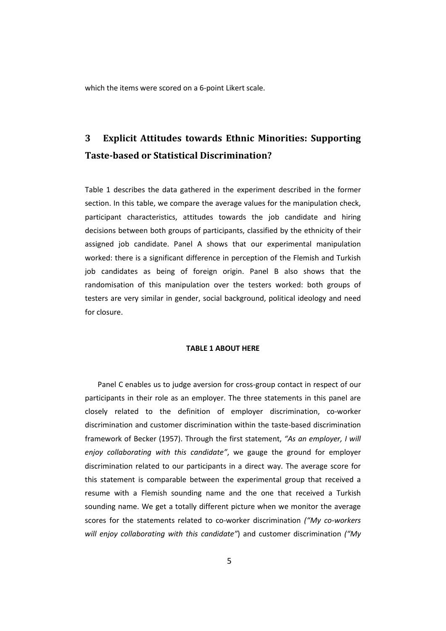which the items were scored on a 6-point Likert scale.

# **3 Explicit Attitudes towards Ethnic Minorities: Supporting Taste-based or Statistical Discrimination?**

Table 1 describes the data gathered in the experiment described in the former section. In this table, we compare the average values for the manipulation check, participant characteristics, attitudes towards the job candidate and hiring decisions between both groups of participants, classified by the ethnicity of their assigned job candidate. Panel A shows that our experimental manipulation worked: there is a significant difference in perception of the Flemish and Turkish job candidates as being of foreign origin. Panel B also shows that the randomisation of this manipulation over the testers worked: both groups of testers are very similar in gender, social background, political ideology and need for closure.

#### **TABLE 1 ABOUT HERE**

Panel C enables us to judge aversion for cross-group contact in respect of our participants in their role as an employer. The three statements in this panel are closely related to the definition of employer discrimination, co-worker discrimination and customer discrimination within the taste-based discrimination framework of Becker (1957). Through the first statement, *"As an employer, I will enjoy collaborating with this candidate"*, we gauge the ground for employer discrimination related to our participants in a direct way. The average score for this statement is comparable between the experimental group that received a resume with a Flemish sounding name and the one that received a Turkish sounding name. We get a totally different picture when we monitor the average scores for the statements related to co-worker discrimination *("My co-workers will enjoy collaborating with this candidate"*) and customer discrimination *("My*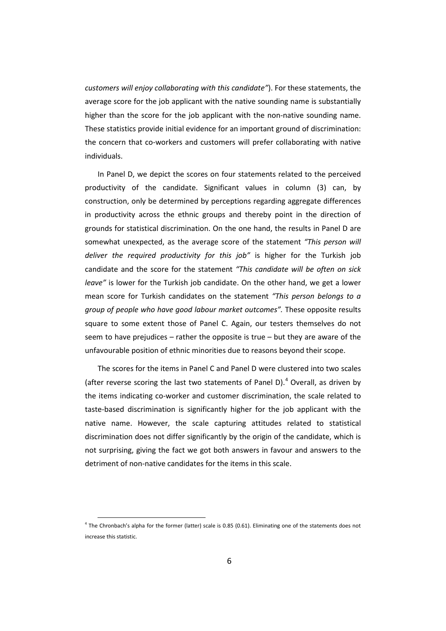*customers will enjoy collaborating with this candidate"*). For these statements, the average score for the job applicant with the native sounding name is substantially higher than the score for the job applicant with the non-native sounding name. These statistics provide initial evidence for an important ground of discrimination: the concern that co-workers and customers will prefer collaborating with native individuals.

In Panel D, we depict the scores on four statements related to the perceived productivity of the candidate. Significant values in column (3) can, by construction, only be determined by perceptions regarding aggregate differences in productivity across the ethnic groups and thereby point in the direction of grounds for statistical discrimination. On the one hand, the results in Panel D are somewhat unexpected, as the average score of the statement *"This person will deliver the required productivity for this job"* is higher for the Turkish job candidate and the score for the statement *"This candidate will be often on sick leave"* is lower for the Turkish job candidate. On the other hand, we get a lower mean score for Turkish candidates on the statement *"This person belongs to a group of people who have good labour market outcomes".* These opposite results square to some extent those of Panel C. Again, our testers themselves do not seem to have prejudices  $-$  rather the opposite is true  $-$  but they are aware of the unfavourable position of ethnic minorities due to reasons beyond their scope.

The scores for the items in Panel C and Panel D were clustered into two scales (after reverse scoring the last two statements of Panel D).<sup>[4](#page-5-0)</sup> Overall, as driven by the items indicating co-worker and customer discrimination, the scale related to taste-based discrimination is significantly higher for the job applicant with the native name. However, the scale capturing attitudes related to statistical discrimination does not differ significantly by the origin of the candidate, which is not surprising, giving the fact we got both answers in favour and answers to the detriment of non-native candidates for the items in this scale.

<span id="page-7-0"></span><sup>&</sup>lt;sup>4</sup> The Chronbach's alpha for the former (latter) scale is 0.85 (0.61). Eliminating one of the statements does not increase this statistic.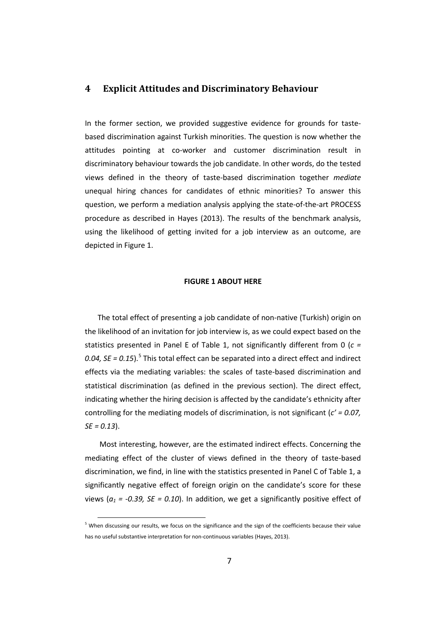#### **4 Explicit Attitudes and Discriminatory Behaviour**

In the former section, we provided suggestive evidence for grounds for tastebased discrimination against Turkish minorities. The question is now whether the attitudes pointing at co-worker and customer discrimination result in discriminatory behaviour towards the job candidate. In other words, do the tested views defined in the theory of taste-based discrimination together *mediate* unequal hiring chances for candidates of ethnic minorities? To answer this question, we perform a mediation analysis applying the state-of-the-art PROCESS procedure as described in Hayes (2013). The results of the benchmark analysis, using the likelihood of getting invited for a job interview as an outcome, are depicted in Figure 1.

#### **FIGURE 1 ABOUT HERE**

The total effect of presenting a job candidate of non-native (Turkish) origin on the likelihood of an invitation for job interview is, as we could expect based on the statistics presented in Panel E of Table 1, not significantly different from 0 (*c =*  0.04, SE = 0.1[5](#page-7-0)).<sup>5</sup> This total effect can be separated into a direct effect and indirect effects via the mediating variables: the scales of taste-based discrimination and statistical discrimination (as defined in the previous section). The direct effect, indicating whether the hiring decision is affected by the candidate's ethnicity after controlling for the mediating models of discrimination, is not significant (*c' = 0.07, SE = 0.13*).

Most interesting, however, are the estimated indirect effects. Concerning the mediating effect of the cluster of views defined in the theory of taste-based discrimination, we find, in line with the statistics presented in Panel C of Table 1, a significantly negative effect of foreign origin on the candidate's score for these views ( $a_1$  = -0.39, SE = 0.10). In addition, we get a significantly positive effect of

<span id="page-8-0"></span><sup>&</sup>lt;sup>5</sup> When discussing our results, we focus on the significance and the sign of the coefficients because their value has no useful substantive interpretation for non-continuous variables (Hayes, 2013).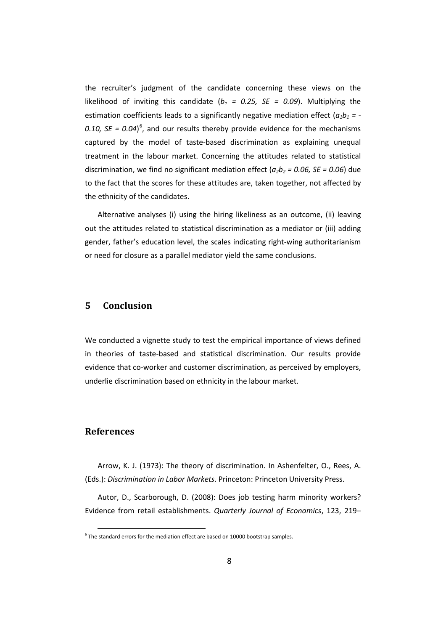the recruiter's judgment of the candidate concerning these views on the likelihood of inviting this candidate  $(b_1 = 0.25, SE = 0.09)$ . Multiplying the estimation coefficients leads to a significantly negative mediation effect  $(a_1b_1 = -1)$ 0.10,  $SE = 0.04$ <sup>[6](#page-8-0)</sup>, and our results thereby provide evidence for the mechanisms captured by the model of taste-based discrimination as explaining unequal treatment in the labour market. Concerning the attitudes related to statistical discrimination, we find no significant mediation effect  $(a_2b_2 = 0.06, SE = 0.06)$  due to the fact that the scores for these attitudes are, taken together, not affected by the ethnicity of the candidates.

Alternative analyses (i) using the hiring likeliness as an outcome, (ii) leaving out the attitudes related to statistical discrimination as a mediator or (iii) adding gender, father's education level, the scales indicating right-wing authoritarianism or need for closure as a parallel mediator yield the same conclusions.

#### **5 Conclusion**

We conducted a vignette study to test the empirical importance of views defined in theories of taste-based and statistical discrimination. Our results provide evidence that co-worker and customer discrimination, as perceived by employers, underlie discrimination based on ethnicity in the labour market.

#### **References**

Arrow, K. J. (1973): The theory of discrimination. In Ashenfelter, O., Rees, A. (Eds.): *Discrimination in Labor Markets*. Princeton: Princeton University Press.

Autor, D., Scarborough, D. (2008): Does job testing harm minority workers? Evidence from retail establishments. *Quarterly Journal of Economics*, 123, 219–

 $6$  The standard errors for the mediation effect are based on 10000 bootstrap samples.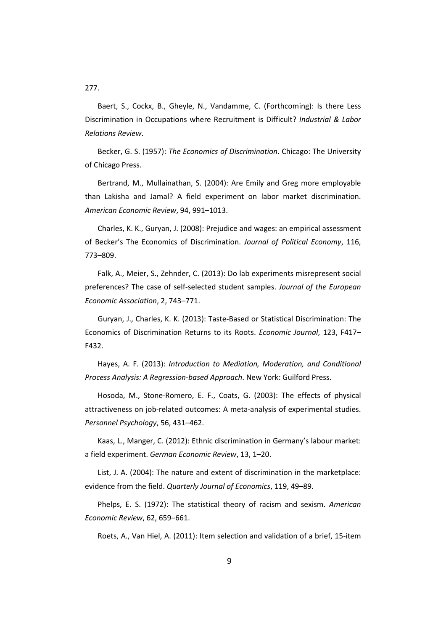277.

Baert, S., Cockx, B., Gheyle, N., Vandamme, C. (Forthcoming): Is there Less Discrimination in Occupations where Recruitment is Difficult? *Industrial & Labor Relations Review*.

Becker, G. S. (1957): *The Economics of Discrimination*. Chicago: The University of Chicago Press.

Bertrand, M., Mullainathan, S. (2004): Are Emily and Greg more employable than Lakisha and Jamal? A field experiment on labor market discrimination. *American Economic Review*, 94, 991–1013.

Charles, K. K., Guryan, J. (2008): Prejudice and wages: an empirical assessment of Becker's The Economics of Discrimination. *Journal of Political Economy*, 116, 773–809.

Falk, A., Meier, S., Zehnder, C. (2013): Do lab experiments misrepresent social preferences? The case of self-selected student samples. *Journal of the European Economic Association*, 2, 743–771.

Guryan, J., Charles, K. K. (2013): Taste-Based or Statistical Discrimination: The Economics of Discrimination Returns to its Roots. *Economic Journal*, 123, F417– F432.

Hayes, A. F. (2013): *Introduction to Mediation, Moderation, and Conditional Process Analysis: A Regression-based Approach*. New York: Guilford Press.

Hosoda, M., Stone-Romero, E. F., Coats, G. (2003): The effects of physical attractiveness on job-related outcomes: A meta-analysis of experimental studies. *Personnel Psychology*, 56, 431–462.

Kaas, L., Manger, C. (2012): Ethnic discrimination in Germany's labour market: a field experiment. *German Economic Review*, 13, 1–20.

List, J. A. (2004): The nature and extent of discrimination in the marketplace: evidence from the field. *Quarterly Journal of Economics*, 119, 49–89.

Phelps, E. S. (1972): The statistical theory of racism and sexism. *American Economic Review*, 62, 659–661.

Roets, A., Van Hiel, A. (2011): Item selection and validation of a brief, 15-item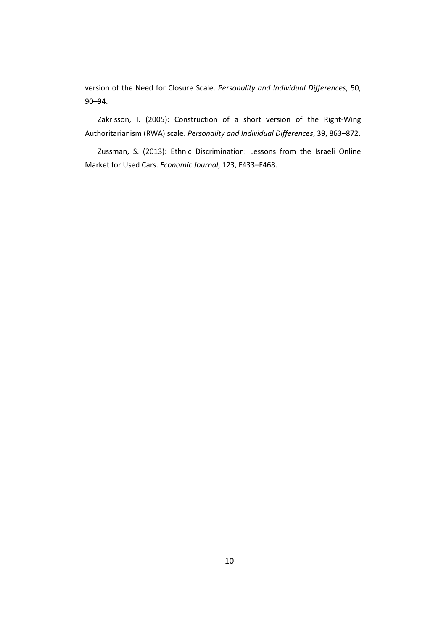version of the Need for Closure Scale. *Personality and Individual Differences*, 50, 90–94.

Zakrisson, I. (2005): Construction of a short version of the Right-Wing Authoritarianism (RWA) scale. *Personality and Individual Differences*, 39, 863–872.

Zussman, S. (2013): Ethnic Discrimination: Lessons from the Israeli Online Market for Used Cars. *Economic Journal*, 123, F433–F468.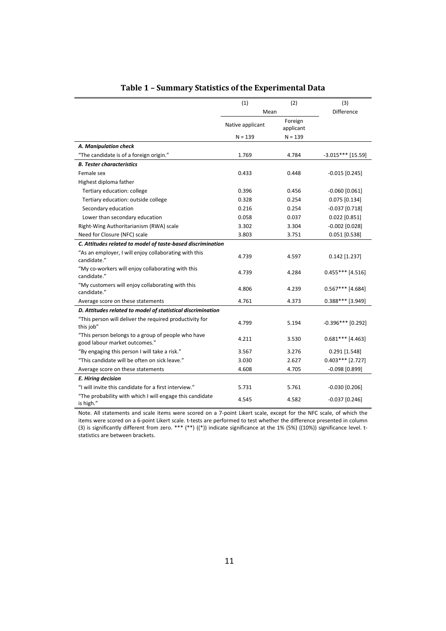|                                                                                     | (1)              | (2)                  | (3)                 |
|-------------------------------------------------------------------------------------|------------------|----------------------|---------------------|
|                                                                                     | Mean             |                      | <b>Difference</b>   |
|                                                                                     | Native applicant | Foreign<br>applicant |                     |
|                                                                                     | $N = 139$        | $N = 139$            |                     |
| A. Manipulation check                                                               |                  |                      |                     |
| "The candidate is of a foreign origin."                                             | 1.769            | 4.784                | $-3.015***$ [15.59] |
| <b>B. Tester characteristics</b>                                                    |                  |                      |                     |
| Female sex                                                                          | 0.433            | 0.448                | $-0.015$ [0.245]    |
| Highest diploma father                                                              |                  |                      |                     |
| Tertiary education: college                                                         | 0.396            | 0.456                | $-0.060$ [0.061]    |
| Tertiary education: outside college                                                 | 0.328            | 0.254                | $0.075$ [0.134]     |
| Secondary education                                                                 | 0.216            | 0.254                | $-0.037$ [0.718]    |
| Lower than secondary education                                                      | 0.058            | 0.037                | $0.022$ [0.851]     |
| Right-Wing Authoritarianism (RWA) scale                                             | 3.302            | 3.304                | $-0.002$ [0.028]    |
| Need for Closure (NFC) scale                                                        | 3.803            | 3.751                | $0.051$ [0.538]     |
| C. Attitudes related to model of taste-based discrimination                         |                  |                      |                     |
| "As an employer, I will enjoy collaborating with this<br>candidate."                | 4.739            | 4.597                | $0.142$ [1.237]     |
| "My co-workers will enjoy collaborating with this<br>candidate."                    | 4.739            | 4.284                | $0.455***$ [4.516]  |
| "My customers will enjoy collaborating with this<br>candidate."                     | 4.806            | 4.239                | $0.567***$ [4.684]  |
| Average score on these statements                                                   | 4.761            | 4.373                | $0.388***$ [3.949]  |
| D. Attitudes related to model of statistical discrimination                         |                  |                      |                     |
| "This person will deliver the required productivity for<br>this job"                | 4.799            | 5.194                | $-0.396***$ [0.292] |
| "This person belongs to a group of people who have<br>good labour market outcomes." | 4.211            | 3.530                | $0.681***$ [4.463]  |
| "By engaging this person I will take a risk."                                       | 3.567            | 3.276                | $0.291$ [1.548]     |
| "This candidate will be often on sick leave."                                       | 3.030            | 2.627                | $0.403***$ [2.727]  |
| Average score on these statements                                                   | 4.608            | 4.705                | $-0.098$ [0.899]    |
| E. Hiring decision                                                                  |                  |                      |                     |
| "I will invite this candidate for a first interview."                               | 5.731            | 5.761                | $-0.030$ [0.206]    |
| "The probability with which I will engage this candidate<br>is high."               | 4.545            | 4.582                | $-0.037$ [0.246]    |

### **Table 1 – Summary Statistics of the Experimental Data**

Note. All statements and scale items were scored on a 7-point Likert scale, except for the NFC scale, of which the items were scored on a 6-point Likert scale. t-tests are performed to test whether the difference presented in column (3) is significantly different from zero. \*\*\* (\*\*) ((\*)) indicate significance at the 1% (5%) ((10%)) significance level. tstatistics are between brackets.